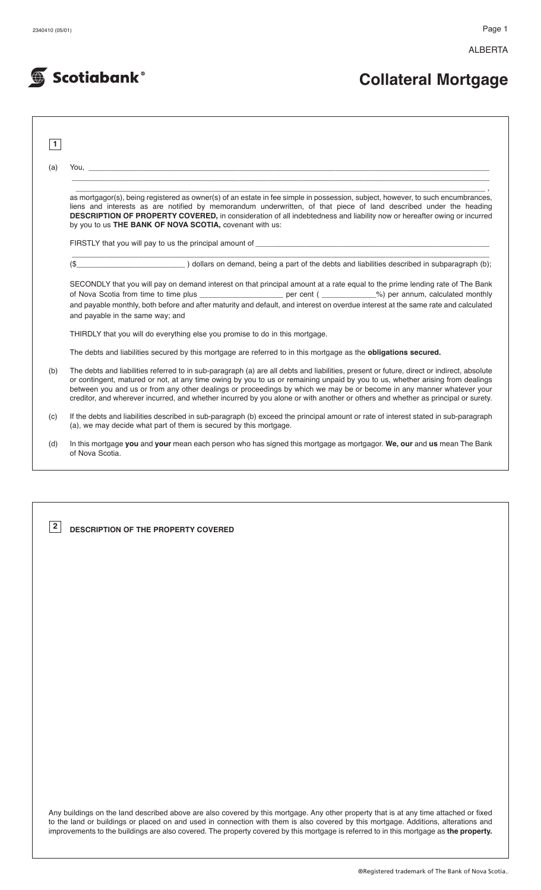ALBERTA



# **Collateral Mortgage**

| 1.  |                                                                                                                                                                                                                                                                                                                                                                                                                                                                                                                                         |  |  |  |  |  |
|-----|-----------------------------------------------------------------------------------------------------------------------------------------------------------------------------------------------------------------------------------------------------------------------------------------------------------------------------------------------------------------------------------------------------------------------------------------------------------------------------------------------------------------------------------------|--|--|--|--|--|
| (a) | You, which is a series of the contract of the contract of the contract of the contract of the contract of the contract of the contract of the contract of the contract of the contract of the contract of the contract of the                                                                                                                                                                                                                                                                                                           |  |  |  |  |  |
|     |                                                                                                                                                                                                                                                                                                                                                                                                                                                                                                                                         |  |  |  |  |  |
|     | as mortgagor(s), being registered as owner(s) of an estate in fee simple in possession, subject, however, to such encumbrances,<br>liens and interests as are notified by memorandum underwritten, of that piece of land described under the heading<br>DESCRIPTION OF PROPERTY COVERED, in consideration of all indebtedness and liability now or hereafter owing or incurred<br>by you to us THE BANK OF NOVA SCOTIA, covenant with us:                                                                                               |  |  |  |  |  |
|     |                                                                                                                                                                                                                                                                                                                                                                                                                                                                                                                                         |  |  |  |  |  |
|     | dollars on demand, being a part of the debts and liabilities described in subparagraph (b);<br>(S)                                                                                                                                                                                                                                                                                                                                                                                                                                      |  |  |  |  |  |
|     | SECONDLY that you will pay on demand interest on that principal amount at a rate equal to the prime lending rate of The Bank<br>and payable monthly, both before and after maturity and default, and interest on overdue interest at the same rate and calculated<br>and payable in the same way; and                                                                                                                                                                                                                                   |  |  |  |  |  |
|     | THIRDLY that you will do everything else you promise to do in this mortgage.                                                                                                                                                                                                                                                                                                                                                                                                                                                            |  |  |  |  |  |
|     | The debts and liabilities secured by this mortgage are referred to in this mortgage as the obligations secured.                                                                                                                                                                                                                                                                                                                                                                                                                         |  |  |  |  |  |
| (b) | The debts and liabilities referred to in sub-paragraph (a) are all debts and liabilities, present or future, direct or indirect, absolute<br>or contingent, matured or not, at any time owing by you to us or remaining unpaid by you to us, whether arising from dealings<br>between you and us or from any other dealings or proceedings by which we may be or become in any manner whatever your<br>creditor, and wherever incurred, and whether incurred by you alone or with another or others and whether as principal or surety. |  |  |  |  |  |
| (c) | If the debts and liabilities described in sub-paragraph (b) exceed the principal amount or rate of interest stated in sub-paragraph<br>(a), we may decide what part of them is secured by this mortgage.                                                                                                                                                                                                                                                                                                                                |  |  |  |  |  |
|     | In this mortgage you and your mean each person who has signed this mortgage as mortgagor. We, our and us mean The Bank                                                                                                                                                                                                                                                                                                                                                                                                                  |  |  |  |  |  |

**DESCRIPTION OF THE PROPERTY COVERED 2**

Any buildings on the land described above are also covered by this mortgage. Any other property that is at any time attached or fixed to the land or buildings or placed on and used in connection with them is also covered by this mortgage. Additions, alterations and improvements to the buildings are also covered. The property covered by this mortgage is referred to in this mortgage as **the property.**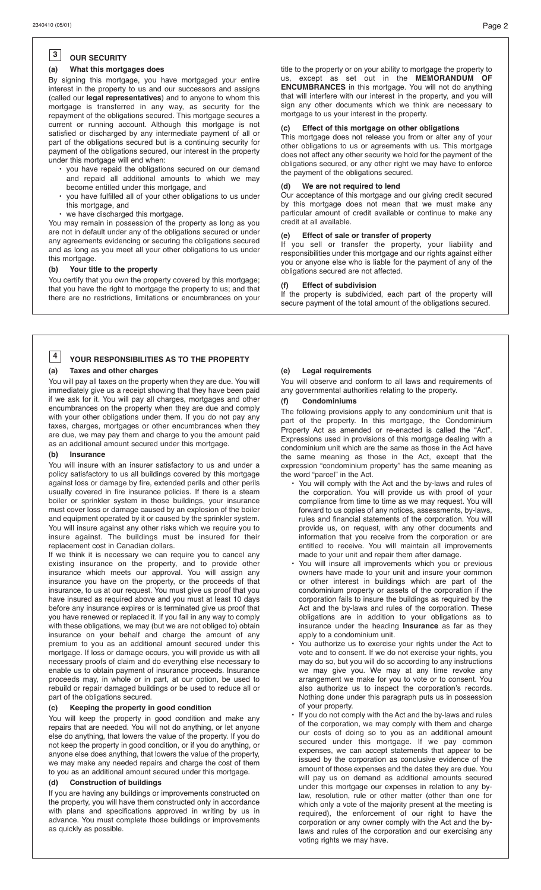#### **OUR SECURITY 3**

#### **(a) What this mortgages does**

By signing this mortgage, you have mortgaged your entire interest in the property to us and our successors and assigns (called our **legal representatives**) and to anyone to whom this mortgage is transferred in any way, as security for the repayment of the obligations secured. This mortgage secures a current or running account. Although this mortgage is not satisfied or discharged by any intermediate payment of all or part of the obligations secured but is a continuing security for payment of the obligations secured, our interest in the property under this mortgage will end when:

- you have repaid the obligations secured on our demand and repaid all additional amounts to which we may become entitled under this mortgage, and
- you have fulfilled all of your other obligations to us under this mortgage, and
- we have discharged this mortgage.

You may remain in possession of the property as long as you are not in default under any of the obligations secured or under any agreements evidencing or securing the obligations secured and as long as you meet all your other obligations to us under this mortgage.

#### **(b) Your title to the property**

You certify that you own the property covered by this mortgage; that you have the right to mortgage the property to us; and that there are no restrictions, limitations or encumbrances on your

title to the property or on your ability to mortgage the property to us, except as set out in the **MEMORANDUM OF ENCUMBRANCES** in this mortgage. You will not do anything that will interfere with our interest in the property, and you will sign any other documents which we think are necessary to mortgage to us your interest in the property.

#### **(c) Effect of this mortgage on other obligations**

This mortgage does not release you from or alter any of your other obligations to us or agreements with us. This mortgage does not affect any other security we hold for the payment of the obligations secured, or any other right we may have to enforce the payment of the obligations secured.

#### **(d) We are not required to lend**

Our acceptance of this mortgage and our giving credit secured by this mortgage does not mean that we must make any particular amount of credit available or continue to make any credit at all available.

#### **(e) Effect of sale or transfer of property**

If you sell or transfer the property, your liability and responsibilities under this mortgage and our rights against either you or anyone else who is liable for the payment of any of the obligations secured are not affected.

#### **Effect of subdivision**

If the property is subdivided, each part of the property will secure payment of the total amount of the obligations secured.

#### **YOUR RESPONSIBILITIES AS TO THE PROPERTY (a) Taxes and other charges 4**

You will pay all taxes on the property when they are due. You will immediately give us a receipt showing that they have been paid if we ask for it. You will pay all charges, mortgages and other encumbrances on the property when they are due and comply with your other obligations under them. If you do not pay any taxes, charges, mortgages or other encumbrances when they are due, we may pay them and charge to you the amount paid as an additional amount secured under this mortgage.

#### **(b) Insurance**

You will insure with an insurer satisfactory to us and under a policy satisfactory to us all buildings covered by this mortgage against loss or damage by fire, extended perils and other perils usually covered in fire insurance policies. If there is a steam boiler or sprinkler system in those buildings, your insurance must cover loss or damage caused by an explosion of the boiler and equipment operated by it or caused by the sprinkler system. You will insure against any other risks which we require you to insure against. The buildings must be insured for their replacement cost in Canadian dollars.

If we think it is necessary we can require you to cancel any existing insurance on the property, and to provide other insurance which meets our approval. You will assign any insurance you have on the property, or the proceeds of that insurance, to us at our request. You must give us proof that you have insured as required above and you must at least 10 days before any insurance expires or is terminated give us proof that you have renewed or replaced it. If you fail in any way to comply with these obligations, we may (but we are not obliged to) obtain insurance on your behalf and charge the amount of any premium to you as an additional amount secured under this mortgage. If loss or damage occurs, you will provide us with all necessary proofs of claim and do everything else necessary to enable us to obtain payment of insurance proceeds. Insurance proceeds may, in whole or in part, at our option, be used to rebuild or repair damaged buildings or be used to reduce all or part of the obligations secured.

#### **(c) Keeping the property in good condition**

You will keep the property in good condition and make any repairs that are needed. You will not do anything, or let anyone else do anything, that lowers the value of the property. If you do not keep the property in good condition, or if you do anything, or anyone else does anything, that lowers the value of the property, we may make any needed repairs and charge the cost of them to you as an additional amount secured under this mortgage.

## **(d) Construction of buildings**

If you are having any buildings or improvements constructed on the property, you will have them constructed only in accordance with plans and specifications approved in writing by us in advance. You must complete those buildings or improvements as quickly as possible.

#### **(e) Legal requirements**

You will observe and conform to all laws and requirements of any governmental authorities relating to the property.

#### **(f) Condominiums**

The following provisions apply to any condominium unit that is part of the property. In this mortgage, the Condominium Property Act as amended or re-enacted is called the "Act". Expressions used in provisions of this mortgage dealing with a condominium unit which are the same as those in the Act have the same meaning as those in the Act, except that the expression "condominium property" has the same meaning as the word "parcel" in the Act.

- You will comply with the Act and the by-laws and rules of the corporation. You will provide us with proof of your compliance from time to time as we may request. You will forward to us copies of any notices, assessments, by-laws, rules and financial statements of the corporation. You will provide us, on request, with any other documents and information that you receive from the corporation or are entitled to receive. You will maintain all improvements made to your unit and repair them after damage.
- You will insure all improvements which you or previous owners have made to your unit and insure your common or other interest in buildings which are part of the condominium property or assets of the corporation if the corporation fails to insure the buildings as required by the Act and the by-laws and rules of the corporation. These obligations are in addition to your obligations as to insurance under the heading **Insurance** as far as they apply to a condominium unit.
- You authorize us to exercise your rights under the Act to vote and to consent. If we do not exercise your rights, you may do so, but you will do so according to any instructions we may give you. We may at any time revoke any arrangement we make for you to vote or to consent. You also authorize us to inspect the corporation's records. Nothing done under this paragraph puts us in possession of your property.
- If you do not comply with the Act and the by-laws and rules of the corporation, we may comply with them and charge our costs of doing so to you as an additional amount secured under this mortgage. If we pay common expenses, we can accept statements that appear to be issued by the corporation as conclusive evidence of the amount of those expenses and the dates they are due. You will pay us on demand as additional amounts secured under this mortgage our expenses in relation to any bylaw, resolution, rule or other matter (other than one for which only a vote of the majority present at the meeting is required), the enforcement of our right to have the corporation or any owner comply with the Act and the bylaws and rules of the corporation and our exercising any voting rights we may have.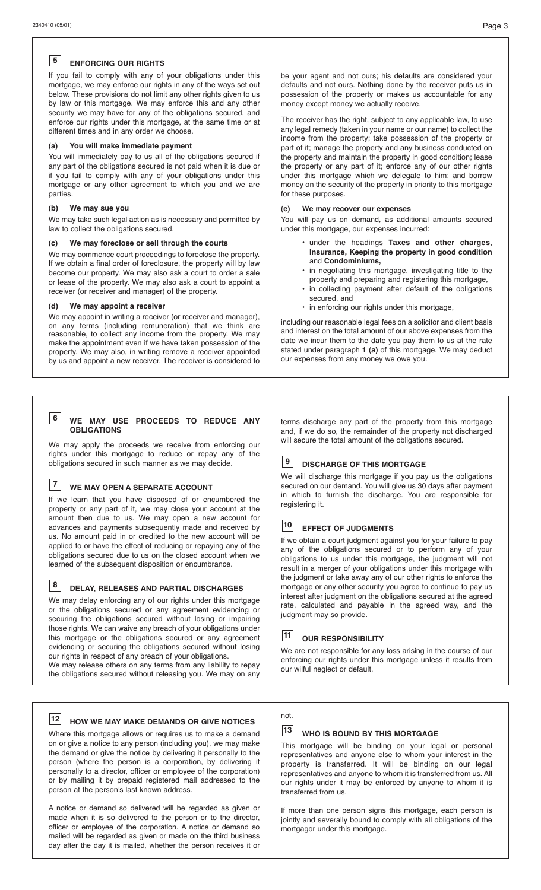#### **ENFORCING OUR RIGHTS 5**

If you fail to comply with any of your obligations under this mortgage, we may enforce our rights in any of the ways set out below. These provisions do not limit any other rights given to us by law or this mortgage. We may enforce this and any other security we may have for any of the obligations secured, and enforce our rights under this mortgage, at the same time or at different times and in any order we choose.

#### **(a) You will make immediate payment**

You will immediately pay to us all of the obligations secured if any part of the obligations secured is not paid when it is due or if you fail to comply with any of your obligations under this mortgage or any other agreement to which you and we are parties.

#### **(b) We may sue you**

We may take such legal action as is necessary and permitted by law to collect the obligations secured.

#### **(c) We may foreclose or sell through the courts**

We may commence court proceedings to foreclose the property. If we obtain a final order of foreclosure, the property will by law become our property. We may also ask a court to order a sale or lease of the property. We may also ask a court to appoint a receiver (or receiver and manager) of the property.

#### **(d) We may appoint a receiver**

We may appoint in writing a receiver (or receiver and manager), on any terms (including remuneration) that we think are reasonable, to collect any income from the property. We may make the appointment even if we have taken possession of the property. We may also, in writing remove a receiver appointed by us and appoint a new receiver. The receiver is considered to

be your agent and not ours; his defaults are considered your defaults and not ours. Nothing done by the receiver puts us in possession of the property or makes us accountable for any money except money we actually receive.

The receiver has the right, subject to any applicable law, to use any legal remedy (taken in your name or our name) to collect the income from the property; take possession of the property or part of it; manage the property and any business conducted on the property and maintain the property in good condition; lease the property or any part of it; enforce any of our other rights under this mortgage which we delegate to him; and borrow money on the security of the property in priority to this mortgage for these purposes.

#### **(e) We may recover our expenses**

You will pay us on demand, as additional amounts secured under this mortgage, our expenses incurred:

- under the headings **Taxes and other charges, Insurance, Keeping the property in good condition** and **Condominiums,**
- **•** in negotiating this mortgage, investigating title to the property and preparing and registering this mortgage,
- **•** in collecting payment after default of the obligations secured, and
- in enforcing our rights under this mortgage,

including our reasonable legal fees on a solicitor and client basis and interest on the total amount of our above expenses from the date we incur them to the date you pay them to us at the rate stated under paragraph **1 (a)** of this mortgage. We may deduct our expenses from any money we owe you.

#### **WE MAY USE PROCEEDS TO REDUCE ANY 6 OBLIGATIONS**

We may apply the proceeds we receive from enforcing our rights under this mortgage to reduce or repay any of the obligations secured in such manner as we may decide.

### **WE MAY OPEN A SEPARATE ACCOUNT 7**

If we learn that you have disposed of or encumbered the property or any part of it, we may close your account at the amount then due to us. We may open a new account for advances and payments subsequently made and received by us. No amount paid in or credited to the new account will be applied to or have the effect of reducing or repaying any of the obligations secured due to us on the closed account when we learned of the subsequent disposition or encumbrance.

**8**

#### **DELAY, RELEASES AND PARTIAL DISCHARGES**

We may delay enforcing any of our rights under this mortgage or the obligations secured or any agreement evidencing or securing the obligations secured without losing or impairing those rights. We can waive any breach of your obligations under this mortgage or the obligations secured or any agreement evidencing or securing the obligations secured without losing our rights in respect of any breach of your obligations.

We may release others on any terms from any liability to repay the obligations secured without releasing you. We may on any

# **HOW WE MAY MAKE DEMANDS OR GIVE NOTICES 12**

Where this mortgage allows or requires us to make a demand on or give a notice to any person (including you), we may make the demand or give the notice by delivering it personally to the person (where the person is a corporation, by delivering it personally to a director, officer or employee of the corporation) or by mailing it by prepaid registered mail addressed to the person at the person's last known address.

A notice or demand so delivered will be regarded as given or made when it is so delivered to the person or to the director, officer or employee of the corporation. A notice or demand so mailed will be regarded as given or made on the third business day after the day it is mailed, whether the person receives it or

terms discharge any part of the property from this mortgage and, if we do so, the remainder of the property not discharged will secure the total amount of the obligations secured.

#### **DISCHARGE OF THIS MORTGAGE 9**

We will discharge this mortgage if you pay us the obligations secured on our demand. You will give us 30 days after payment in which to furnish the discharge. You are responsible for registering it.

#### **EFFECT OF JUDGMENTS 10**

If we obtain a court judgment against you for your failure to pay any of the obligations secured or to perform any of your obligations to us under this mortgage, the judgment will not result in a merger of your obligations under this mortgage with the judgment or take away any of our other rights to enforce the mortgage or any other security you agree to continue to pay us interest after judgment on the obligations secured at the agreed rate, calculated and payable in the agreed way, and the judgment may so provide.

### 11 OUR RESPONSIBILITY

We are not responsible for any loss arising in the course of our enforcing our rights under this mortgage unless it results from our wilful neglect or default.

# not.

### **WHO IS BOUND BY THIS MORTGAGE 13**

This mortgage will be binding on your legal or personal representatives and anyone else to whom your interest in the property is transferred. It will be binding on our legal representatives and anyone to whom it is transferred from us. All our rights under it may be enforced by anyone to whom it is transferred from us.

If more than one person signs this mortgage, each person is jointly and severally bound to comply with all obligations of the mortgagor under this mortgage.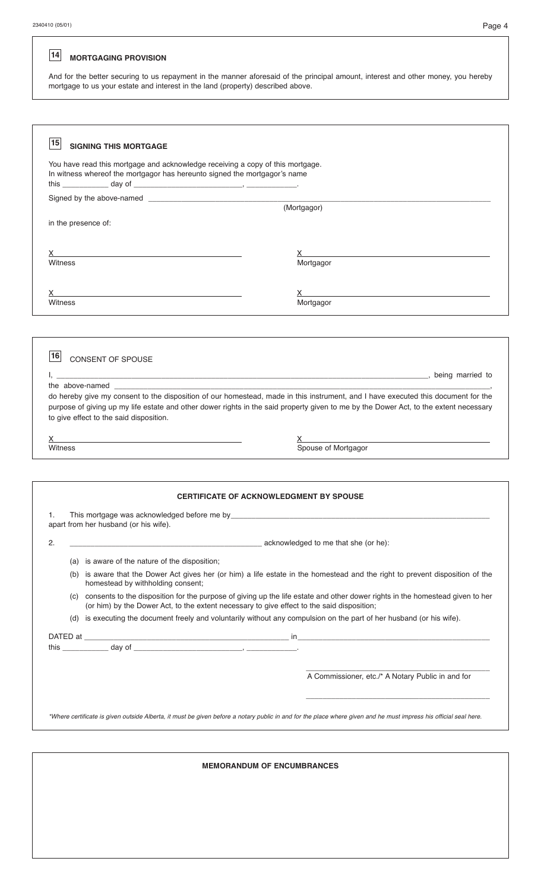# **MORTGAGING PROVISION 14**

And for the better securing to us repayment in the manner aforesaid of the principal amount, interest and other money, you hereby mortgage to us your estate and interest in the land (property) described above.

| 15<br><b>SIGNING THIS MORTGAGE</b>                                                                                                                                                                                                                                             |                                                                                                                                                                                                                                                                                                                |  |  |  |  |  |  |
|--------------------------------------------------------------------------------------------------------------------------------------------------------------------------------------------------------------------------------------------------------------------------------|----------------------------------------------------------------------------------------------------------------------------------------------------------------------------------------------------------------------------------------------------------------------------------------------------------------|--|--|--|--|--|--|
| You have read this mortgage and acknowledge receiving a copy of this mortgage.                                                                                                                                                                                                 |                                                                                                                                                                                                                                                                                                                |  |  |  |  |  |  |
| In witness whereof the mortgagor has hereunto signed the mortgagor's name                                                                                                                                                                                                      |                                                                                                                                                                                                                                                                                                                |  |  |  |  |  |  |
|                                                                                                                                                                                                                                                                                |                                                                                                                                                                                                                                                                                                                |  |  |  |  |  |  |
|                                                                                                                                                                                                                                                                                | (Mortgagor)                                                                                                                                                                                                                                                                                                    |  |  |  |  |  |  |
| in the presence of:                                                                                                                                                                                                                                                            |                                                                                                                                                                                                                                                                                                                |  |  |  |  |  |  |
|                                                                                                                                                                                                                                                                                |                                                                                                                                                                                                                                                                                                                |  |  |  |  |  |  |
| $\chi$ and $\chi$ and $\chi$ and $\chi$ and $\chi$ and $\chi$ and $\chi$ and $\chi$ and $\chi$ and $\chi$ and $\chi$ and $\chi$ and $\chi$ and $\chi$ and $\chi$ and $\chi$ and $\chi$ and $\chi$ and $\chi$ and $\chi$ and $\chi$ and $\chi$ and $\chi$ and $\chi$ and $\chi$ | $\chi$ and $\chi$ and $\chi$ and $\chi$ and $\chi$ and $\chi$ and $\chi$ and $\chi$ and $\chi$ and $\chi$ and $\chi$ and $\chi$ and $\chi$ and $\chi$ and $\chi$ and $\chi$ and $\chi$ and $\chi$ and $\chi$ and $\chi$ and $\chi$ and $\chi$ and $\chi$ and $\chi$ and $\chi$                                 |  |  |  |  |  |  |
| Witness                                                                                                                                                                                                                                                                        | Mortgagor                                                                                                                                                                                                                                                                                                      |  |  |  |  |  |  |
|                                                                                                                                                                                                                                                                                |                                                                                                                                                                                                                                                                                                                |  |  |  |  |  |  |
| X.<br><b>Witness</b>                                                                                                                                                                                                                                                           | $\mathsf X$ and $\mathsf X$ and $\mathsf X$ are the set of $\mathsf X$ and $\mathsf X$ are the set of $\mathsf X$ and $\mathsf X$ are the set of $\mathsf X$ and $\mathsf X$ are the set of $\mathsf X$ and $\mathsf X$ are the set of $\mathsf X$ and $\mathsf X$ are the set of $\mathsf X$ and<br>Mortgagor |  |  |  |  |  |  |
|                                                                                                                                                                                                                                                                                |                                                                                                                                                                                                                                                                                                                |  |  |  |  |  |  |
|                                                                                                                                                                                                                                                                                |                                                                                                                                                                                                                                                                                                                |  |  |  |  |  |  |
|                                                                                                                                                                                                                                                                                |                                                                                                                                                                                                                                                                                                                |  |  |  |  |  |  |
| 16<br>CONSENT OF SPOUSE                                                                                                                                                                                                                                                        |                                                                                                                                                                                                                                                                                                                |  |  |  |  |  |  |
|                                                                                                                                                                                                                                                                                | the contract of the contract of the contract of the contract of the contract of the contract of the contract of the contract of the contract of the contract of the contract of the contract of the contract of the contract o                                                                                 |  |  |  |  |  |  |
| the above-named                                                                                                                                                                                                                                                                |                                                                                                                                                                                                                                                                                                                |  |  |  |  |  |  |
|                                                                                                                                                                                                                                                                                | do hereby give my consent to the disposition of our homestead, made in this instrument, and I have executed this document for the                                                                                                                                                                              |  |  |  |  |  |  |
| to give effect to the said disposition.                                                                                                                                                                                                                                        | purpose of giving up my life estate and other dower rights in the said property given to me by the Dower Act, to the extent necessary                                                                                                                                                                          |  |  |  |  |  |  |
|                                                                                                                                                                                                                                                                                |                                                                                                                                                                                                                                                                                                                |  |  |  |  |  |  |
| X.<br><b>Witness</b>                                                                                                                                                                                                                                                           | X<br>Spouse of Mortgagor<br>Spouse of Mortgagor                                                                                                                                                                                                                                                                |  |  |  |  |  |  |
|                                                                                                                                                                                                                                                                                |                                                                                                                                                                                                                                                                                                                |  |  |  |  |  |  |
|                                                                                                                                                                                                                                                                                |                                                                                                                                                                                                                                                                                                                |  |  |  |  |  |  |
|                                                                                                                                                                                                                                                                                |                                                                                                                                                                                                                                                                                                                |  |  |  |  |  |  |
| <b>CERTIFICATE OF ACKNOWLEDGMENT BY SPOUSE</b>                                                                                                                                                                                                                                 |                                                                                                                                                                                                                                                                                                                |  |  |  |  |  |  |
| This mortgage was acknowledged before me by_<br>apart from her husband (or his wife).                                                                                                                                                                                          |                                                                                                                                                                                                                                                                                                                |  |  |  |  |  |  |
| 2.                                                                                                                                                                                                                                                                             | acknowledged to me that she (or he):                                                                                                                                                                                                                                                                           |  |  |  |  |  |  |
|                                                                                                                                                                                                                                                                                |                                                                                                                                                                                                                                                                                                                |  |  |  |  |  |  |
| (a) is aware of the nature of the disposition;                                                                                                                                                                                                                                 |                                                                                                                                                                                                                                                                                                                |  |  |  |  |  |  |
| homestead by withholding consent;                                                                                                                                                                                                                                              | (b) is aware that the Dower Act gives her (or him) a life estate in the homestead and the right to prevent disposition of the                                                                                                                                                                                  |  |  |  |  |  |  |
| (or him) by the Dower Act, to the extent necessary to give effect to the said disposition;                                                                                                                                                                                     | (c) consents to the disposition for the purpose of giving up the life estate and other dower rights in the homestead given to her                                                                                                                                                                              |  |  |  |  |  |  |
|                                                                                                                                                                                                                                                                                | (d) is executing the document freely and voluntarily without any compulsion on the part of her husband (or his wife).                                                                                                                                                                                          |  |  |  |  |  |  |
|                                                                                                                                                                                                                                                                                |                                                                                                                                                                                                                                                                                                                |  |  |  |  |  |  |
|                                                                                                                                                                                                                                                                                |                                                                                                                                                                                                                                                                                                                |  |  |  |  |  |  |
|                                                                                                                                                                                                                                                                                |                                                                                                                                                                                                                                                                                                                |  |  |  |  |  |  |
|                                                                                                                                                                                                                                                                                | A Commissioner, etc./* A Notary Public in and for                                                                                                                                                                                                                                                              |  |  |  |  |  |  |
|                                                                                                                                                                                                                                                                                |                                                                                                                                                                                                                                                                                                                |  |  |  |  |  |  |
|                                                                                                                                                                                                                                                                                |                                                                                                                                                                                                                                                                                                                |  |  |  |  |  |  |
|                                                                                                                                                                                                                                                                                | *Where certificate is given outside Alberta, it must be given before a notary public in and for the place where given and he must impress his official seal here.                                                                                                                                              |  |  |  |  |  |  |
|                                                                                                                                                                                                                                                                                |                                                                                                                                                                                                                                                                                                                |  |  |  |  |  |  |
|                                                                                                                                                                                                                                                                                |                                                                                                                                                                                                                                                                                                                |  |  |  |  |  |  |
| <b>MEMORANDUM OF ENCUMBRANCES</b>                                                                                                                                                                                                                                              |                                                                                                                                                                                                                                                                                                                |  |  |  |  |  |  |
|                                                                                                                                                                                                                                                                                |                                                                                                                                                                                                                                                                                                                |  |  |  |  |  |  |
|                                                                                                                                                                                                                                                                                |                                                                                                                                                                                                                                                                                                                |  |  |  |  |  |  |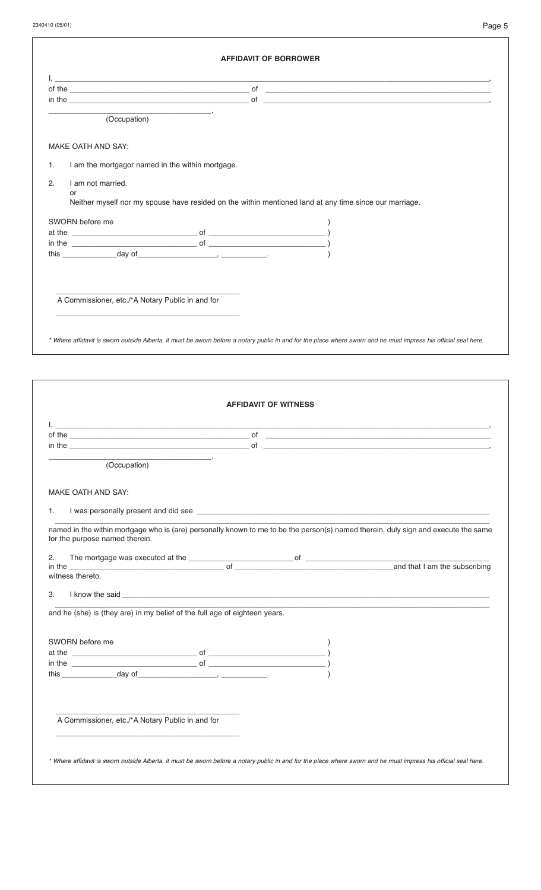| of the $\qquad \qquad$ of $\qquad \qquad$ of $\qquad \qquad$ of $\qquad \qquad$ of $\qquad \qquad$ of $\qquad \qquad$ of $\qquad \qquad$ of $\qquad \qquad$                                                                                                                                                                                                                                                                       |                             |  |
|-----------------------------------------------------------------------------------------------------------------------------------------------------------------------------------------------------------------------------------------------------------------------------------------------------------------------------------------------------------------------------------------------------------------------------------|-----------------------------|--|
| the company of the company of                                                                                                                                                                                                                                                                                                                                                                                                     |                             |  |
| (Occupation)                                                                                                                                                                                                                                                                                                                                                                                                                      |                             |  |
| MAKE OATH AND SAY:                                                                                                                                                                                                                                                                                                                                                                                                                |                             |  |
| I am the mortgagor named in the within mortgage.<br>1.                                                                                                                                                                                                                                                                                                                                                                            |                             |  |
| I am not married.<br>2.                                                                                                                                                                                                                                                                                                                                                                                                           |                             |  |
| or<br>Neither myself nor my spouse have resided on the within mentioned land at any time since our marriage.                                                                                                                                                                                                                                                                                                                      |                             |  |
| SWORN before me                                                                                                                                                                                                                                                                                                                                                                                                                   |                             |  |
|                                                                                                                                                                                                                                                                                                                                                                                                                                   |                             |  |
| this $\frac{day \ of$                                                                                                                                                                                                                                                                                                                                                                                                             |                             |  |
|                                                                                                                                                                                                                                                                                                                                                                                                                                   |                             |  |
|                                                                                                                                                                                                                                                                                                                                                                                                                                   |                             |  |
|                                                                                                                                                                                                                                                                                                                                                                                                                                   |                             |  |
| A Commissioner, etc./*A Notary Public in and for                                                                                                                                                                                                                                                                                                                                                                                  |                             |  |
|                                                                                                                                                                                                                                                                                                                                                                                                                                   |                             |  |
|                                                                                                                                                                                                                                                                                                                                                                                                                                   |                             |  |
| * Where affidavit is sworn outside Alberta, it must be sworn before a notary public in and for the place where sworn and he must impress his official seal here.                                                                                                                                                                                                                                                                  |                             |  |
|                                                                                                                                                                                                                                                                                                                                                                                                                                   |                             |  |
|                                                                                                                                                                                                                                                                                                                                                                                                                                   |                             |  |
|                                                                                                                                                                                                                                                                                                                                                                                                                                   | <b>AFFIDAVIT OF WITNESS</b> |  |
|                                                                                                                                                                                                                                                                                                                                                                                                                                   | of                          |  |
| the control of the control of the control of the control of<br>(Occupation)                                                                                                                                                                                                                                                                                                                                                       |                             |  |
|                                                                                                                                                                                                                                                                                                                                                                                                                                   |                             |  |
|                                                                                                                                                                                                                                                                                                                                                                                                                                   |                             |  |
|                                                                                                                                                                                                                                                                                                                                                                                                                                   |                             |  |
|                                                                                                                                                                                                                                                                                                                                                                                                                                   |                             |  |
|                                                                                                                                                                                                                                                                                                                                                                                                                                   |                             |  |
|                                                                                                                                                                                                                                                                                                                                                                                                                                   |                             |  |
|                                                                                                                                                                                                                                                                                                                                                                                                                                   |                             |  |
|                                                                                                                                                                                                                                                                                                                                                                                                                                   |                             |  |
|                                                                                                                                                                                                                                                                                                                                                                                                                                   |                             |  |
|                                                                                                                                                                                                                                                                                                                                                                                                                                   |                             |  |
|                                                                                                                                                                                                                                                                                                                                                                                                                                   |                             |  |
|                                                                                                                                                                                                                                                                                                                                                                                                                                   |                             |  |
|                                                                                                                                                                                                                                                                                                                                                                                                                                   |                             |  |
|                                                                                                                                                                                                                                                                                                                                                                                                                                   |                             |  |
| of the<br>$\blacksquare$ in the $\blacksquare$<br>MAKE OATH AND SAY:<br>1.<br>named in the within mortgage who is (are) personally known to me to be the person(s) named therein, duly sign and execute the same<br>for the purpose named therein.<br>witness thereto.<br>3.<br>and he (she) is (they are) in my belief of the full age of eighteen years.<br>SWORN before me<br>A Commissioner, etc./*A Notary Public in and for |                             |  |